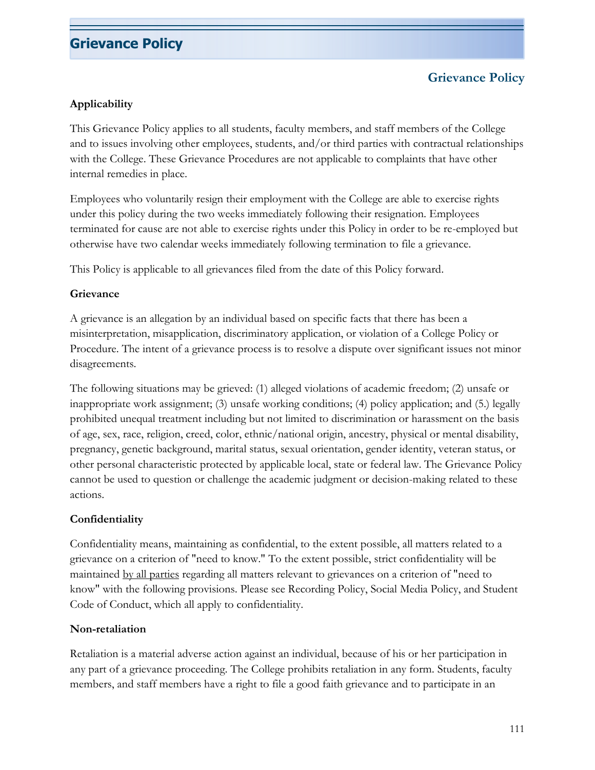### **Grievance Policy**

#### **Applicability**

This Grievance Policy applies to all students, faculty members, and staff members of the College and to issues involving other employees, students, and/or third parties with contractual relationships with the College. These Grievance Procedures are not applicable to complaints that have other internal remedies in place.

Employees who voluntarily resign their employment with the College are able to exercise rights under this policy during the two weeks immediately following their resignation. Employees terminated for cause are not able to exercise rights under this Policy in order to be re-employed but otherwise have two calendar weeks immediately following termination to file a grievance.

This Policy is applicable to all grievances filed from the date of this Policy forward.

#### **Grievance**

A grievance is an allegation by an individual based on specific facts that there has been a misinterpretation, misapplication, discriminatory application, or violation of a College Policy or Procedure. The intent of a grievance process is to resolve a dispute over significant issues not minor disagreements.

The following situations may be grieved: (1) alleged violations of academic freedom; (2) unsafe or inappropriate work assignment; (3) unsafe working conditions; (4) policy application; and (5.) legally prohibited unequal treatment including but not limited to discrimination or harassment on the basis of age, sex, race, religion, creed, color, ethnic/national origin, ancestry, physical or mental disability, pregnancy, genetic background, marital status, sexual orientation, gender identity, veteran status, or other personal characteristic protected by applicable local, state or federal law. The Grievance Policy cannot be used to question or challenge the academic judgment or decision-making related to these actions.

#### **Confidentiality**

Confidentiality means, maintaining as confidential, to the extent possible, all matters related to a grievance on a criterion of "need to know." To the extent possible, strict confidentiality will be maintained by all parties regarding all matters relevant to grievances on a criterion of "need to know" with the following provisions. Please see Recording Policy, Social Media Policy, and Student Code of Conduct, which all apply to confidentiality.

#### **Non-retaliation**

Retaliation is a material adverse action against an individual, because of his or her participation in any part of a grievance proceeding. The College prohibits retaliation in any form. Students, faculty members, and staff members have a right to file a good faith grievance and to participate in an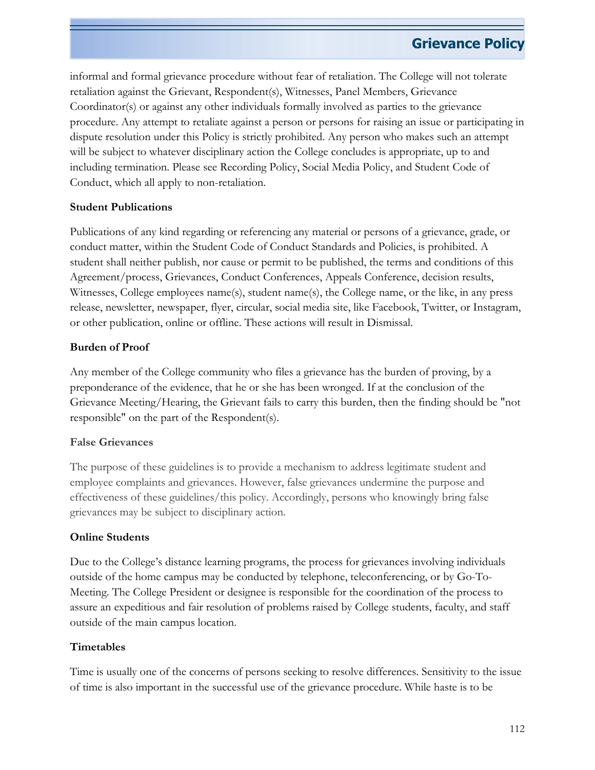informal and formal grievance procedure without fear of retaliation. The College will not tolerate retaliation against the Grievant, Respondent(s), Witnesses, Panel Members, Grievance Coordinator(s) or against any other individuals formally involved as parties to the grievance procedure. Any attempt to retaliate against a person or persons for raising an issue or participating in dispute resolution under this Policy is strictly prohibited. Any person who makes such an attempt will be subject to whatever disciplinary action the College concludes is appropriate, up to and including termination. Please see Recording Policy, Social Media Policy, and Student Code of Conduct, which all apply to non-retaliation.

#### **Student Publications**

Publications of any kind regarding or referencing any material or persons of a grievance, grade, or conduct matter, within the Student Code of Conduct Standards and Policies, is prohibited. A student shall neither publish, nor cause or permit to be published, the terms and conditions of this Agreement/process, Grievances, Conduct Conferences, Appeals Conference, decision results, Witnesses, College employees name(s), student name(s), the College name, or the like, in any press release, newsletter, newspaper, flyer, circular, social media site, like Facebook, Twitter, or Instagram, or other publication, online or offline. These actions will result in Dismissal.

#### **Burden of Proof**

Any member of the College community who files a grievance has the burden of proving, by a preponderance of the evidence, that he or she has been wronged. If at the conclusion of the Grievance Meeting/Hearing, the Grievant fails to carry this burden, then the finding should be "not responsible" on the part of the Respondent(s).

### **False Grievances**

The purpose of these guidelines is to provide a mechanism to address legitimate student and employee complaints and grievances. However, false grievances undermine the purpose and effectiveness of these guidelines/this policy. Accordingly, persons who knowingly bring false grievances may be subject to disciplinary action.

#### **Online Students**

Due to the College's distance learning programs, the process for grievances involving individuals outside of the home campus may be conducted by telephone, teleconferencing, or by Go-To-Meeting. The College President or designee is responsible for the coordination of the process to assure an expeditious and fair resolution of problems raised by College students, faculty, and staff outside of the main campus location.

### **Timetables**

Time is usually one of the concerns of persons seeking to resolve differences. Sensitivity to the issue of time is also important in the successful use of the grievance procedure. While haste is to be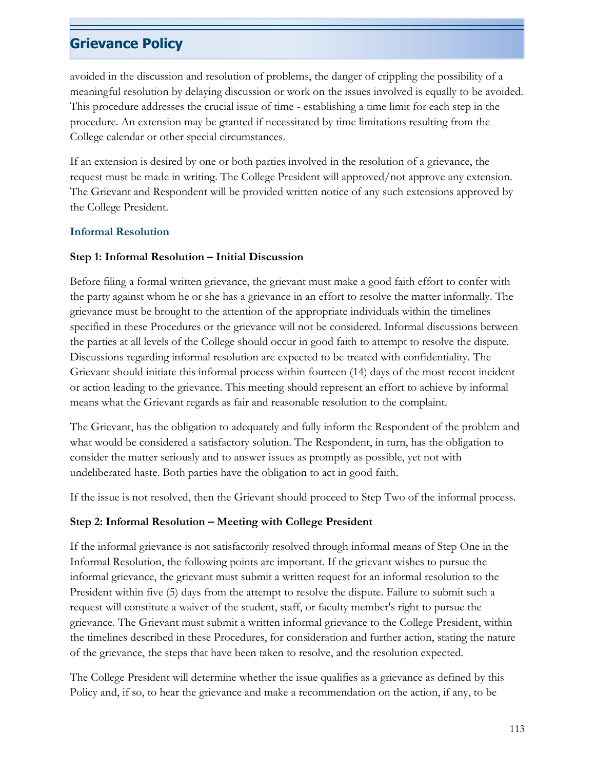avoided in the discussion and resolution of problems, the danger of crippling the possibility of a meaningful resolution by delaying discussion or work on the issues involved is equally to be avoided. This procedure addresses the crucial issue of time - establishing a time limit for each step in the procedure. An extension may be granted if necessitated by time limitations resulting from the College calendar or other special circumstances.

If an extension is desired by one or both parties involved in the resolution of a grievance, the request must be made in writing. The College President will approved/not approve any extension. The Grievant and Respondent will be provided written notice of any such extensions approved by the College President.

#### **Informal Resolution**

#### **Step 1: Informal Resolution – Initial Discussion**

Before filing a formal written grievance, the grievant must make a good faith effort to confer with the party against whom he or she has a grievance in an effort to resolve the matter informally. The grievance must be brought to the attention of the appropriate individuals within the timelines specified in these Procedures or the grievance will not be considered. Informal discussions between the parties at all levels of the College should occur in good faith to attempt to resolve the dispute. Discussions regarding informal resolution are expected to be treated with confidentiality. The Grievant should initiate this informal process within fourteen (14) days of the most recent incident or action leading to the grievance. This meeting should represent an effort to achieve by informal means what the Grievant regards as fair and reasonable resolution to the complaint.

The Grievant, has the obligation to adequately and fully inform the Respondent of the problem and what would be considered a satisfactory solution. The Respondent, in turn, has the obligation to consider the matter seriously and to answer issues as promptly as possible, yet not with undeliberated haste. Both parties have the obligation to act in good faith.

If the issue is not resolved, then the Grievant should proceed to Step Two of the informal process.

### **Step 2: Informal Resolution – Meeting with College President**

If the informal grievance is not satisfactorily resolved through informal means of Step One in the Informal Resolution, the following points are important. If the grievant wishes to pursue the informal grievance, the grievant must submit a written request for an informal resolution to the President within five (5) days from the attempt to resolve the dispute. Failure to submit such a request will constitute a waiver of the student, staff, or faculty member's right to pursue the grievance. The Grievant must submit a written informal grievance to the College President, within the timelines described in these Procedures, for consideration and further action, stating the nature of the grievance, the steps that have been taken to resolve, and the resolution expected.

The College President will determine whether the issue qualifies as a grievance as defined by this Policy and, if so, to hear the grievance and make a recommendation on the action, if any, to be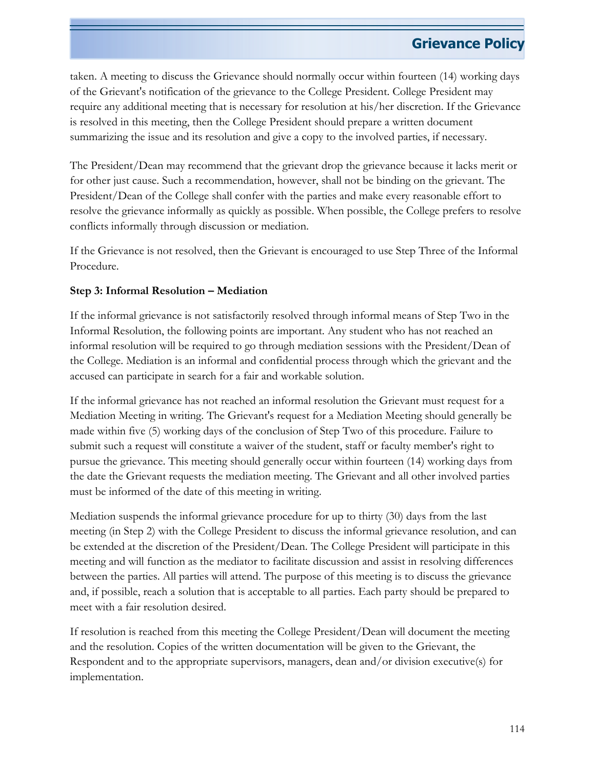taken. A meeting to discuss the Grievance should normally occur within fourteen (14) working days of the Grievant's notification of the grievance to the College President. College President may require any additional meeting that is necessary for resolution at his/her discretion. If the Grievance is resolved in this meeting, then the College President should prepare a written document summarizing the issue and its resolution and give a copy to the involved parties, if necessary.

The President/Dean may recommend that the grievant drop the grievance because it lacks merit or for other just cause. Such a recommendation, however, shall not be binding on the grievant. The President/Dean of the College shall confer with the parties and make every reasonable effort to resolve the grievance informally as quickly as possible. When possible, the College prefers to resolve conflicts informally through discussion or mediation.

If the Grievance is not resolved, then the Grievant is encouraged to use Step Three of the Informal Procedure.

### **Step 3: Informal Resolution – Mediation**

If the informal grievance is not satisfactorily resolved through informal means of Step Two in the Informal Resolution, the following points are important. Any student who has not reached an informal resolution will be required to go through mediation sessions with the President/Dean of the College. Mediation is an informal and confidential process through which the grievant and the accused can participate in search for a fair and workable solution.

If the informal grievance has not reached an informal resolution the Grievant must request for a Mediation Meeting in writing. The Grievant's request for a Mediation Meeting should generally be made within five (5) working days of the conclusion of Step Two of this procedure. Failure to submit such a request will constitute a waiver of the student, staff or faculty member's right to pursue the grievance. This meeting should generally occur within fourteen (14) working days from the date the Grievant requests the mediation meeting. The Grievant and all other involved parties must be informed of the date of this meeting in writing.

Mediation suspends the informal grievance procedure for up to thirty (30) days from the last meeting (in Step 2) with the College President to discuss the informal grievance resolution, and can be extended at the discretion of the President/Dean. The College President will participate in this meeting and will function as the mediator to facilitate discussion and assist in resolving differences between the parties. All parties will attend. The purpose of this meeting is to discuss the grievance and, if possible, reach a solution that is acceptable to all parties. Each party should be prepared to meet with a fair resolution desired.

If resolution is reached from this meeting the College President/Dean will document the meeting and the resolution. Copies of the written documentation will be given to the Grievant, the Respondent and to the appropriate supervisors, managers, dean and/or division executive(s) for implementation.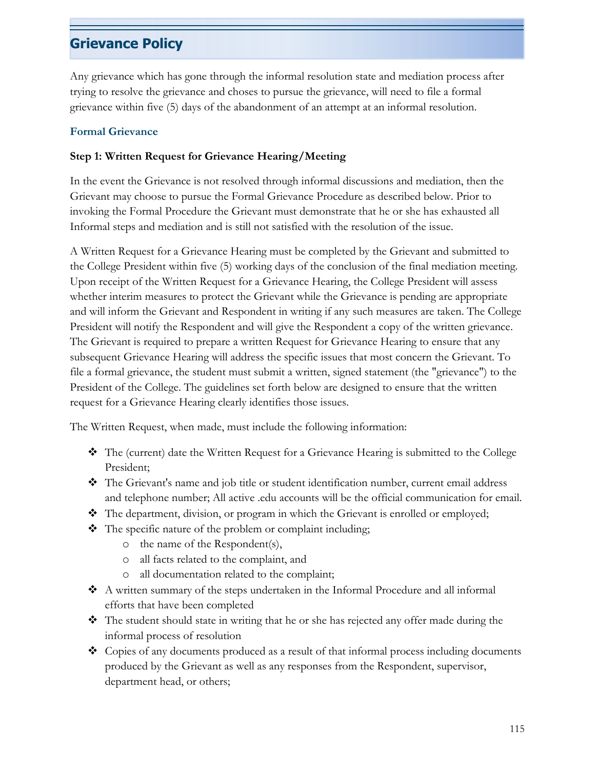Any grievance which has gone through the informal resolution state and mediation process after trying to resolve the grievance and choses to pursue the grievance, will need to file a formal grievance within five (5) days of the abandonment of an attempt at an informal resolution.

#### **Formal Grievance**

#### **Step 1: Written Request for Grievance Hearing/Meeting**

In the event the Grievance is not resolved through informal discussions and mediation, then the Grievant may choose to pursue the Formal Grievance Procedure as described below. Prior to invoking the Formal Procedure the Grievant must demonstrate that he or she has exhausted all Informal steps and mediation and is still not satisfied with the resolution of the issue.

A Written Request for a Grievance Hearing must be completed by the Grievant and submitted to the College President within five (5) working days of the conclusion of the final mediation meeting. Upon receipt of the Written Request for a Grievance Hearing, the College President will assess whether interim measures to protect the Grievant while the Grievance is pending are appropriate and will inform the Grievant and Respondent in writing if any such measures are taken. The College President will notify the Respondent and will give the Respondent a copy of the written grievance. The Grievant is required to prepare a written Request for Grievance Hearing to ensure that any subsequent Grievance Hearing will address the specific issues that most concern the Grievant. To file a formal grievance, the student must submit a written, signed statement (the "grievance") to the President of the College. The guidelines set forth below are designed to ensure that the written request for a Grievance Hearing clearly identifies those issues.

The Written Request, when made, must include the following information:

- The (current) date the Written Request for a Grievance Hearing is submitted to the College President;
- The Grievant's name and job title or student identification number, current email address and telephone number; All active .edu accounts will be the official communication for email.
- The department, division, or program in which the Grievant is enrolled or employed;
- The specific nature of the problem or complaint including;
	- o the name of the Respondent(s),
	- o all facts related to the complaint, and
	- o all documentation related to the complaint;
- A written summary of the steps undertaken in the Informal Procedure and all informal efforts that have been completed
- The student should state in writing that he or she has rejected any offer made during the informal process of resolution
- Copies of any documents produced as a result of that informal process including documents produced by the Grievant as well as any responses from the Respondent, supervisor, department head, or others;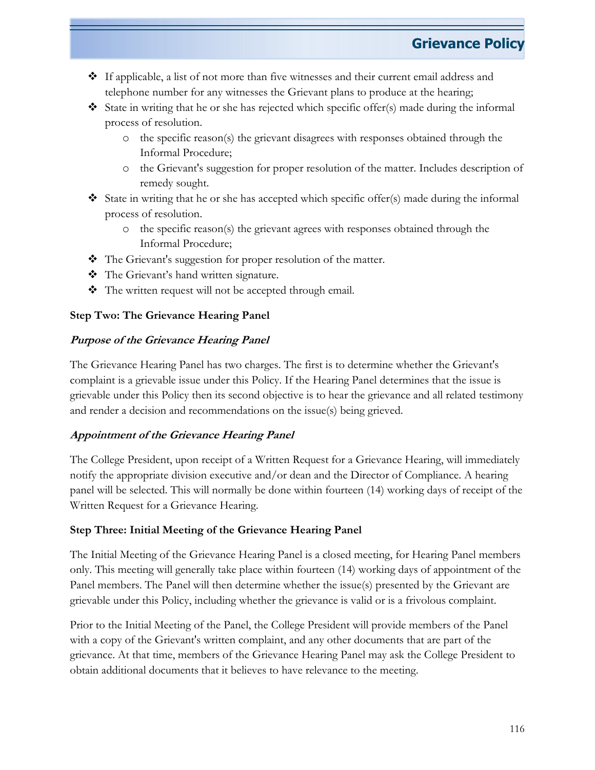- $\cdot \cdot$  If applicable, a list of not more than five witnesses and their current email address and telephone number for any witnesses the Grievant plans to produce at the hearing;
- State in writing that he or she has rejected which specific offer(s) made during the informal process of resolution.
	- o the specific reason(s) the grievant disagrees with responses obtained through the Informal Procedure;
	- o the Grievant's suggestion for proper resolution of the matter. Includes description of remedy sought.
- State in writing that he or she has accepted which specific offer(s) made during the informal process of resolution.
	- o the specific reason(s) the grievant agrees with responses obtained through the Informal Procedure;
- $\triangleleft$  The Grievant's suggestion for proper resolution of the matter.
- The Grievant's hand written signature.
- \* The written request will not be accepted through email.

#### **Step Two: The Grievance Hearing Panel**

#### **Purpose of the Grievance Hearing Panel**

The Grievance Hearing Panel has two charges. The first is to determine whether the Grievant's complaint is a grievable issue under this Policy. If the Hearing Panel determines that the issue is grievable under this Policy then its second objective is to hear the grievance and all related testimony and render a decision and recommendations on the issue(s) being grieved.

### **Appointment of the Grievance Hearing Panel**

The College President, upon receipt of a Written Request for a Grievance Hearing, will immediately notify the appropriate division executive and/or dean and the Director of Compliance. A hearing panel will be selected. This will normally be done within fourteen (14) working days of receipt of the Written Request for a Grievance Hearing.

#### **Step Three: Initial Meeting of the Grievance Hearing Panel**

The Initial Meeting of the Grievance Hearing Panel is a closed meeting, for Hearing Panel members only. This meeting will generally take place within fourteen (14) working days of appointment of the Panel members. The Panel will then determine whether the issue(s) presented by the Grievant are grievable under this Policy, including whether the grievance is valid or is a frivolous complaint.

Prior to the Initial Meeting of the Panel, the College President will provide members of the Panel with a copy of the Grievant's written complaint, and any other documents that are part of the grievance. At that time, members of the Grievance Hearing Panel may ask the College President to obtain additional documents that it believes to have relevance to the meeting.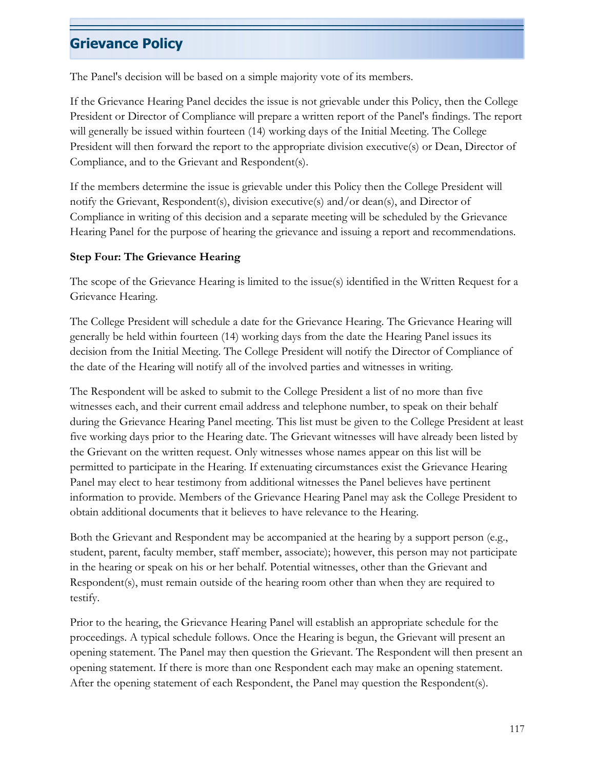The Panel's decision will be based on a simple majority vote of its members.

If the Grievance Hearing Panel decides the issue is not grievable under this Policy, then the College President or Director of Compliance will prepare a written report of the Panel's findings. The report will generally be issued within fourteen (14) working days of the Initial Meeting. The College President will then forward the report to the appropriate division executive(s) or Dean, Director of Compliance, and to the Grievant and Respondent(s).

If the members determine the issue is grievable under this Policy then the College President will notify the Grievant, Respondent(s), division executive(s) and/or dean(s), and Director of Compliance in writing of this decision and a separate meeting will be scheduled by the Grievance Hearing Panel for the purpose of hearing the grievance and issuing a report and recommendations.

#### **Step Four: The Grievance Hearing**

The scope of the Grievance Hearing is limited to the issue(s) identified in the Written Request for a Grievance Hearing.

The College President will schedule a date for the Grievance Hearing. The Grievance Hearing will generally be held within fourteen (14) working days from the date the Hearing Panel issues its decision from the Initial Meeting. The College President will notify the Director of Compliance of the date of the Hearing will notify all of the involved parties and witnesses in writing.

The Respondent will be asked to submit to the College President a list of no more than five witnesses each, and their current email address and telephone number, to speak on their behalf during the Grievance Hearing Panel meeting. This list must be given to the College President at least five working days prior to the Hearing date. The Grievant witnesses will have already been listed by the Grievant on the written request. Only witnesses whose names appear on this list will be permitted to participate in the Hearing. If extenuating circumstances exist the Grievance Hearing Panel may elect to hear testimony from additional witnesses the Panel believes have pertinent information to provide. Members of the Grievance Hearing Panel may ask the College President to obtain additional documents that it believes to have relevance to the Hearing.

Both the Grievant and Respondent may be accompanied at the hearing by a support person (e.g., student, parent, faculty member, staff member, associate); however, this person may not participate in the hearing or speak on his or her behalf. Potential witnesses, other than the Grievant and Respondent(s), must remain outside of the hearing room other than when they are required to testify.

Prior to the hearing, the Grievance Hearing Panel will establish an appropriate schedule for the proceedings. A typical schedule follows. Once the Hearing is begun, the Grievant will present an opening statement. The Panel may then question the Grievant. The Respondent will then present an opening statement. If there is more than one Respondent each may make an opening statement. After the opening statement of each Respondent, the Panel may question the Respondent(s).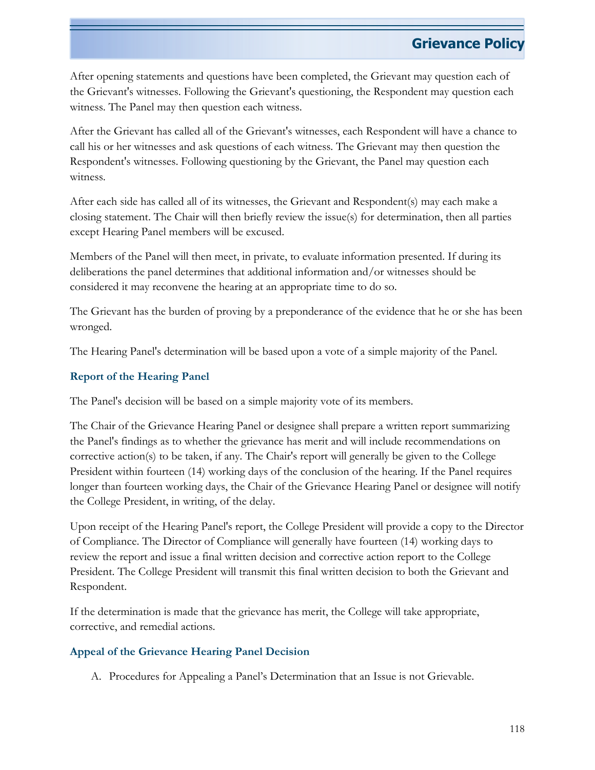After opening statements and questions have been completed, the Grievant may question each of the Grievant's witnesses. Following the Grievant's questioning, the Respondent may question each witness. The Panel may then question each witness.

After the Grievant has called all of the Grievant's witnesses, each Respondent will have a chance to call his or her witnesses and ask questions of each witness. The Grievant may then question the Respondent's witnesses. Following questioning by the Grievant, the Panel may question each witness.

After each side has called all of its witnesses, the Grievant and Respondent(s) may each make a closing statement. The Chair will then briefly review the issue(s) for determination, then all parties except Hearing Panel members will be excused.

Members of the Panel will then meet, in private, to evaluate information presented. If during its deliberations the panel determines that additional information and/or witnesses should be considered it may reconvene the hearing at an appropriate time to do so.

The Grievant has the burden of proving by a preponderance of the evidence that he or she has been wronged.

The Hearing Panel's determination will be based upon a vote of a simple majority of the Panel.

### **Report of the Hearing Panel**

The Panel's decision will be based on a simple majority vote of its members.

The Chair of the Grievance Hearing Panel or designee shall prepare a written report summarizing the Panel's findings as to whether the grievance has merit and will include recommendations on corrective action(s) to be taken, if any. The Chair's report will generally be given to the College President within fourteen (14) working days of the conclusion of the hearing. If the Panel requires longer than fourteen working days, the Chair of the Grievance Hearing Panel or designee will notify the College President, in writing, of the delay.

Upon receipt of the Hearing Panel's report, the College President will provide a copy to the Director of Compliance. The Director of Compliance will generally have fourteen (14) working days to review the report and issue a final written decision and corrective action report to the College President. The College President will transmit this final written decision to both the Grievant and Respondent.

If the determination is made that the grievance has merit, the College will take appropriate, corrective, and remedial actions.

### **Appeal of the Grievance Hearing Panel Decision**

A. Procedures for Appealing a Panel's Determination that an Issue is not Grievable.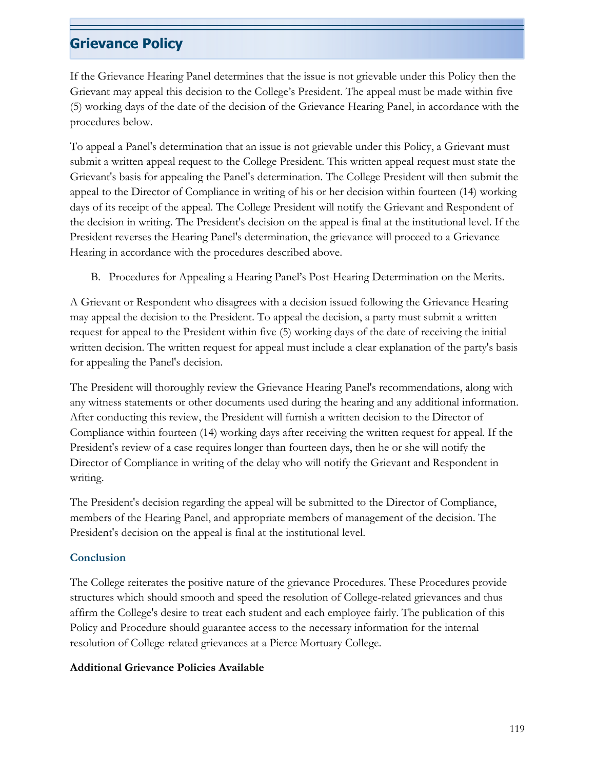If the Grievance Hearing Panel determines that the issue is not grievable under this Policy then the Grievant may appeal this decision to the College's President. The appeal must be made within five (5) working days of the date of the decision of the Grievance Hearing Panel, in accordance with the procedures below.

To appeal a Panel's determination that an issue is not grievable under this Policy, a Grievant must submit a written appeal request to the College President. This written appeal request must state the Grievant's basis for appealing the Panel's determination. The College President will then submit the appeal to the Director of Compliance in writing of his or her decision within fourteen (14) working days of its receipt of the appeal. The College President will notify the Grievant and Respondent of the decision in writing. The President's decision on the appeal is final at the institutional level. If the President reverses the Hearing Panel's determination, the grievance will proceed to a Grievance Hearing in accordance with the procedures described above.

B. Procedures for Appealing a Hearing Panel's Post-Hearing Determination on the Merits.

A Grievant or Respondent who disagrees with a decision issued following the Grievance Hearing may appeal the decision to the President. To appeal the decision, a party must submit a written request for appeal to the President within five (5) working days of the date of receiving the initial written decision. The written request for appeal must include a clear explanation of the party's basis for appealing the Panel's decision.

The President will thoroughly review the Grievance Hearing Panel's recommendations, along with any witness statements or other documents used during the hearing and any additional information. After conducting this review, the President will furnish a written decision to the Director of Compliance within fourteen (14) working days after receiving the written request for appeal. If the President's review of a case requires longer than fourteen days, then he or she will notify the Director of Compliance in writing of the delay who will notify the Grievant and Respondent in writing.

The President's decision regarding the appeal will be submitted to the Director of Compliance, members of the Hearing Panel, and appropriate members of management of the decision. The President's decision on the appeal is final at the institutional level.

### **Conclusion**

The College reiterates the positive nature of the grievance Procedures. These Procedures provide structures which should smooth and speed the resolution of College-related grievances and thus affirm the College's desire to treat each student and each employee fairly. The publication of this Policy and Procedure should guarantee access to the necessary information for the internal resolution of College-related grievances at a Pierce Mortuary College.

#### **Additional Grievance Policies Available**